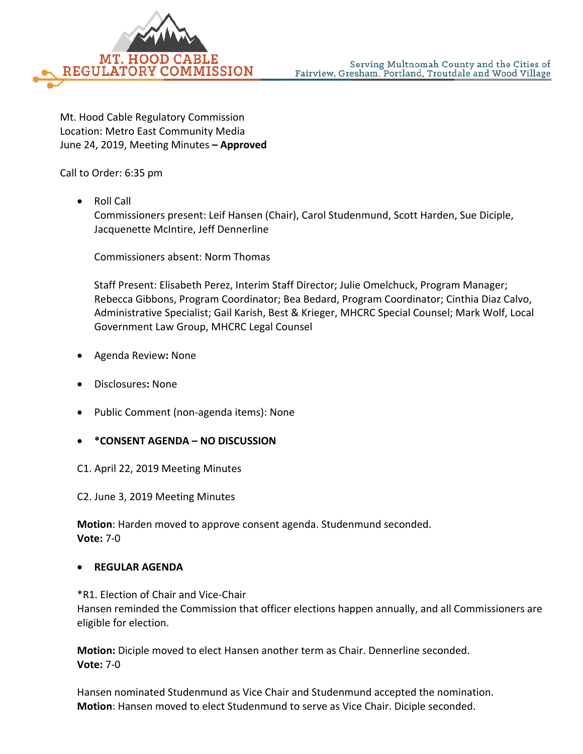

Mt. Hood Cable Regulatory Commission Location: Metro East Community Media June 24, 2019, Meeting Minutes **– Approved**

Call to Order: 6:35 pm

• Roll Call

Commissioners present: Leif Hansen (Chair), Carol Studenmund, Scott Harden, Sue Diciple, Jacquenette McIntire, Jeff Dennerline

Commissioners absent: Norm Thomas

Staff Present: Elisabeth Perez, Interim Staff Director; Julie Omelchuck, Program Manager; Rebecca Gibbons, Program Coordinator; Bea Bedard, Program Coordinator; Cinthia Diaz Calvo, Administrative Specialist; Gail Karish, Best & Krieger, MHCRC Special Counsel; Mark Wolf, Local Government Law Group, MHCRC Legal Counsel

- Agenda Review**:** None
- Disclosures**:** None
- Public Comment (non-agenda items): None
- **\*CONSENT AGENDA – NO DISCUSSION**

C1. April 22, 2019 Meeting Minutes

C2. June 3, 2019 Meeting Minutes

**Motion**: Harden moved to approve consent agenda. Studenmund seconded. **Vote:** 7-0

## • **REGULAR AGENDA**

\*R1. Election of Chair and Vice-Chair

Hansen reminded the Commission that officer elections happen annually, and all Commissioners are eligible for election.

**Motion:** Diciple moved to elect Hansen another term as Chair. Dennerline seconded. **Vote:** 7-0

Hansen nominated Studenmund as Vice Chair and Studenmund accepted the nomination. **Motion**: Hansen moved to elect Studenmund to serve as Vice Chair. Diciple seconded.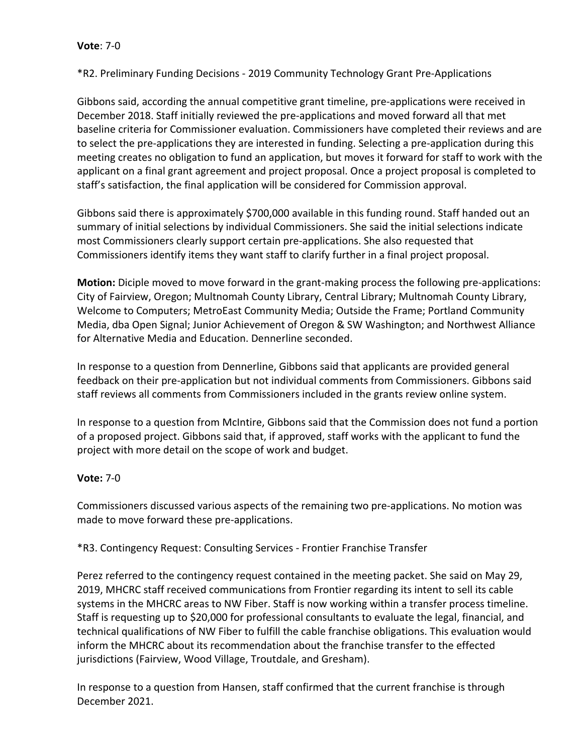\*R2. Preliminary Funding Decisions - 2019 Community Technology Grant Pre-Applications

Gibbons said, according the annual competitive grant timeline, pre-applications were received in December 2018. Staff initially reviewed the pre-applications and moved forward all that met baseline criteria for Commissioner evaluation. Commissioners have completed their reviews and are to select the pre-applications they are interested in funding. Selecting a pre-application during this meeting creates no obligation to fund an application, but moves it forward for staff to work with the applicant on a final grant agreement and project proposal. Once a project proposal is completed to staff's satisfaction, the final application will be considered for Commission approval.

Gibbons said there is approximately \$700,000 available in this funding round. Staff handed out an summary of initial selections by individual Commissioners. She said the initial selections indicate most Commissioners clearly support certain pre-applications. She also requested that Commissioners identify items they want staff to clarify further in a final project proposal.

**Motion:** Diciple moved to move forward in the grant-making process the following pre-applications: City of Fairview, Oregon; Multnomah County Library, Central Library; Multnomah County Library, Welcome to Computers; MetroEast Community Media; Outside the Frame; Portland Community Media, dba Open Signal; Junior Achievement of Oregon & SW Washington; and Northwest Alliance for Alternative Media and Education. Dennerline seconded.

In response to a question from Dennerline, Gibbons said that applicants are provided general feedback on their pre-application but not individual comments from Commissioners. Gibbons said staff reviews all comments from Commissioners included in the grants review online system.

In response to a question from McIntire, Gibbons said that the Commission does not fund a portion of a proposed project. Gibbons said that, if approved, staff works with the applicant to fund the project with more detail on the scope of work and budget.

# **Vote:** 7-0

Commissioners discussed various aspects of the remaining two pre-applications. No motion was made to move forward these pre-applications.

\*R3. Contingency Request: Consulting Services - Frontier Franchise Transfer

Perez referred to the contingency request contained in the meeting packet. She said on May 29, 2019, MHCRC staff received communications from Frontier regarding its intent to sell its cable systems in the MHCRC areas to NW Fiber. Staff is now working within a transfer process timeline. Staff is requesting up to \$20,000 for professional consultants to evaluate the legal, financial, and technical qualifications of NW Fiber to fulfill the cable franchise obligations. This evaluation would inform the MHCRC about its recommendation about the franchise transfer to the effected jurisdictions (Fairview, Wood Village, Troutdale, and Gresham).

In response to a question from Hansen, staff confirmed that the current franchise is through December 2021.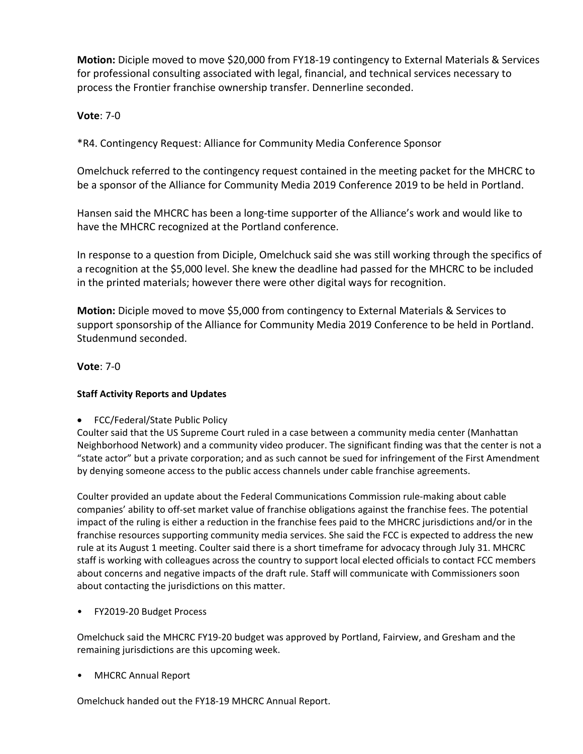**Motion:** Diciple moved to move \$20,000 from FY18-19 contingency to External Materials & Services for professional consulting associated with legal, financial, and technical services necessary to process the Frontier franchise ownership transfer. Dennerline seconded.

## **Vote**: 7-0

\*R4. Contingency Request: Alliance for Community Media Conference Sponsor

Omelchuck referred to the contingency request contained in the meeting packet for the MHCRC to be a sponsor of the Alliance for Community Media 2019 Conference 2019 to be held in Portland.

Hansen said the MHCRC has been a long-time supporter of the Alliance's work and would like to have the MHCRC recognized at the Portland conference.

In response to a question from Diciple, Omelchuck said she was still working through the specifics of a recognition at the \$5,000 level. She knew the deadline had passed for the MHCRC to be included in the printed materials; however there were other digital ways for recognition.

**Motion:** Diciple moved to move \$5,000 from contingency to External Materials & Services to support sponsorship of the Alliance for Community Media 2019 Conference to be held in Portland. Studenmund seconded.

### **Vote**: 7-0

## **Staff Activity Reports and Updates**

• FCC/Federal/State Public Policy

Coulter said that the US Supreme Court ruled in a case between a community media center (Manhattan Neighborhood Network) and a community video producer. The significant finding was that the center is not a "state actor" but a private corporation; and as such cannot be sued for infringement of the First Amendment by denying someone access to the public access channels under cable franchise agreements.

Coulter provided an update about the Federal Communications Commission rule-making about cable companies' ability to off-set market value of franchise obligations against the franchise fees. The potential impact of the ruling is either a reduction in the franchise fees paid to the MHCRC jurisdictions and/or in the franchise resources supporting community media services. She said the FCC is expected to address the new rule at its August 1 meeting. Coulter said there is a short timeframe for advocacy through July 31. MHCRC staff is working with colleagues across the country to support local elected officials to contact FCC members about concerns and negative impacts of the draft rule. Staff will communicate with Commissioners soon about contacting the jurisdictions on this matter.

• FY2019-20 Budget Process

Omelchuck said the MHCRC FY19-20 budget was approved by Portland, Fairview, and Gresham and the remaining jurisdictions are this upcoming week.

• MHCRC Annual Report

Omelchuck handed out the FY18-19 MHCRC Annual Report.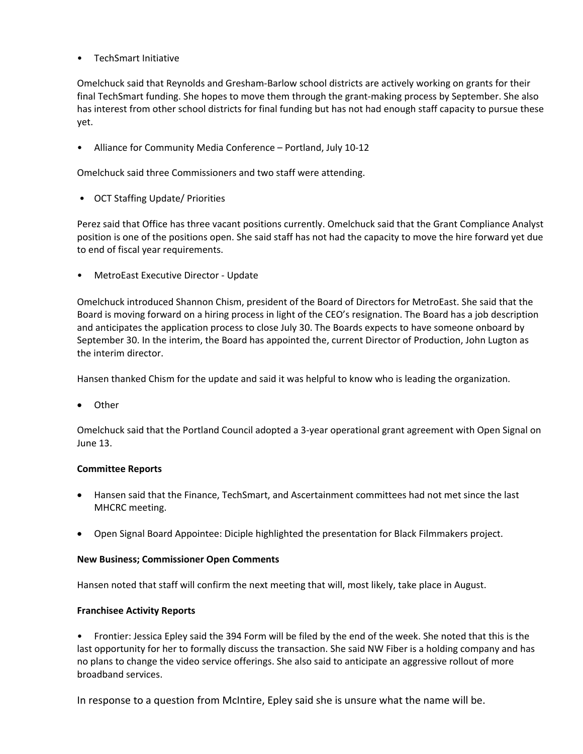• TechSmart Initiative

Omelchuck said that Reynolds and Gresham-Barlow school districts are actively working on grants for their final TechSmart funding. She hopes to move them through the grant-making process by September. She also has interest from other school districts for final funding but has not had enough staff capacity to pursue these yet.

• Alliance for Community Media Conference – Portland, July 10-12

Omelchuck said three Commissioners and two staff were attending.

• OCT Staffing Update/ Priorities

Perez said that Office has three vacant positions currently. Omelchuck said that the Grant Compliance Analyst position is one of the positions open. She said staff has not had the capacity to move the hire forward yet due to end of fiscal year requirements.

• MetroEast Executive Director - Update

Omelchuck introduced Shannon Chism, president of the Board of Directors for MetroEast. She said that the Board is moving forward on a hiring process in light of the CEO's resignation. The Board has a job description and anticipates the application process to close July 30. The Boards expects to have someone onboard by September 30. In the interim, the Board has appointed the, current Director of Production, John Lugton as the interim director.

Hansen thanked Chism for the update and said it was helpful to know who is leading the organization.

• Other

Omelchuck said that the Portland Council adopted a 3-year operational grant agreement with Open Signal on June 13.

### **Committee Reports**

- Hansen said that the Finance, TechSmart, and Ascertainment committees had not met since the last MHCRC meeting.
- Open Signal Board Appointee: Diciple highlighted the presentation for Black Filmmakers project.

#### **New Business; Commissioner Open Comments**

Hansen noted that staff will confirm the next meeting that will, most likely, take place in August.

### **Franchisee Activity Reports**

• Frontier: Jessica Epley said the 394 Form will be filed by the end of the week. She noted that this is the last opportunity for her to formally discuss the transaction. She said NW Fiber is a holding company and has no plans to change the video service offerings. She also said to anticipate an aggressive rollout of more broadband services.

In response to a question from McIntire, Epley said she is unsure what the name will be.